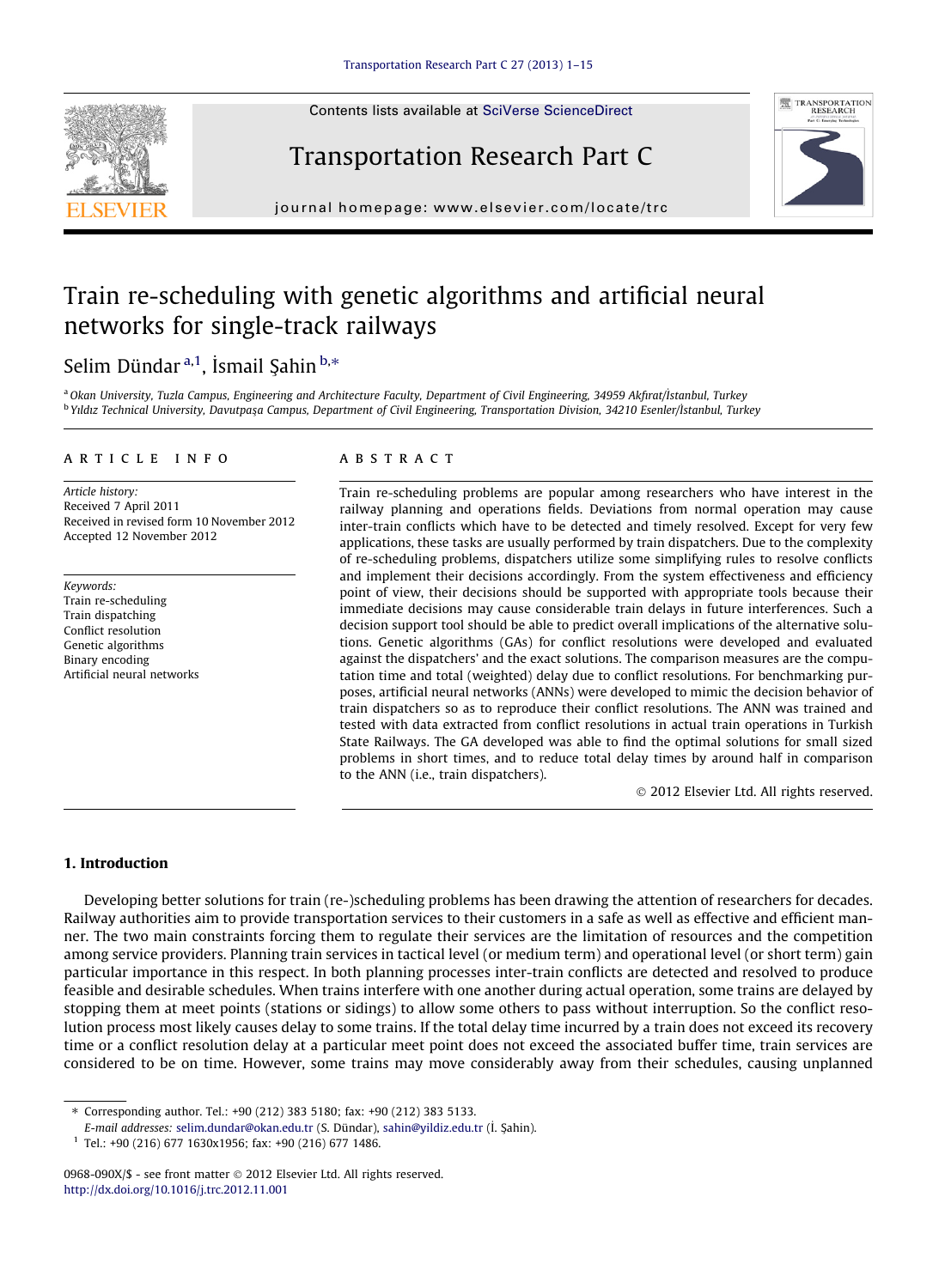Contents lists available at [SciVerse ScienceDirect](http://www.sciencedirect.com/science/journal/0968090X)







journal homepage: www.el [sevier.com/locate/trc](http://www.elsevier.com/locate/trc)

## Train re-scheduling with genetic algorithms and artificial neural networks for single-track railways

### Selim Dündar <sup>a,1</sup>, İsmail Şahin <sup>b,\*</sup>

a Okan University, Tuzla Campus, Engineering and Architecture Faculty, Department of Civil Engineering, 34959 Akfirat/İstanbul, Turkey <sup>b</sup> Yıldız Technical University, Davutpaşa Campus, Department of Civil Engineering, Transportation Division, 34210 Esenler/İstanbul, Turkey

#### article info

Article history: Received 7 April 2011 Received in revised form 10 November 2012 Accepted 12 November 2012

Keywords: Train re-scheduling Train dispatching Conflict resolution Genetic algorithms Binary encoding Artificial neural networks

#### **ABSTRACT**

Train re-scheduling problems are popular among researchers who have interest in the railway planning and operations fields. Deviations from normal operation may cause inter-train conflicts which have to be detected and timely resolved. Except for very few applications, these tasks are usually performed by train dispatchers. Due to the complexity of re-scheduling problems, dispatchers utilize some simplifying rules to resolve conflicts and implement their decisions accordingly. From the system effectiveness and efficiency point of view, their decisions should be supported with appropriate tools because their immediate decisions may cause considerable train delays in future interferences. Such a decision support tool should be able to predict overall implications of the alternative solutions. Genetic algorithms (GAs) for conflict resolutions were developed and evaluated against the dispatchers' and the exact solutions. The comparison measures are the computation time and total (weighted) delay due to conflict resolutions. For benchmarking purposes, artificial neural networks (ANNs) were developed to mimic the decision behavior of train dispatchers so as to reproduce their conflict resolutions. The ANN was trained and tested with data extracted from conflict resolutions in actual train operations in Turkish State Railways. The GA developed was able to find the optimal solutions for small sized problems in short times, and to reduce total delay times by around half in comparison to the ANN (i.e., train dispatchers).

- 2012 Elsevier Ltd. All rights reserved.

#### 1. Introduction

Developing better solutions for train (re-)scheduling problems has been drawing the attention of researchers for decades. Railway authorities aim to provide transportation services to their customers in a safe as well as effective and efficient manner. The two main constraints forcing them to regulate their services are the limitation of resources and the competition among service providers. Planning train services in tactical level (or medium term) and operational level (or short term) gain particular importance in this respect. In both planning processes inter-train conflicts are detected and resolved to produce feasible and desirable schedules. When trains interfere with one another during actual operation, some trains are delayed by stopping them at meet points (stations or sidings) to allow some others to pass without interruption. So the conflict resolution process most likely causes delay to some trains. If the total delay time incurred by a train does not exceed its recovery time or a conflict resolution delay at a particular meet point does not exceed the associated buffer time, train services are considered to be on time. However, some trains may move considerably away from their schedules, causing unplanned

⇑ Corresponding author. Tel.: +90 (212) 383 5180; fax: +90 (212) 383 5133.

 $1$  Tel.: +90 (216) 677 1630x1956; fax: +90 (216) 677 1486.

E-mail addresses: [selim.dundar@okan.edu.tr](mailto:selim.dundar@okan.edu.tr) (S. Dündar), [sahin@yildiz.edu.tr](mailto:sahin@yildiz.edu.tr) (İ. Şahin).

<sup>0968-090</sup>X/\$ - see front matter © 2012 Elsevier Ltd. All rights reserved. <http://dx.doi.org/10.1016/j.trc.2012.11.001>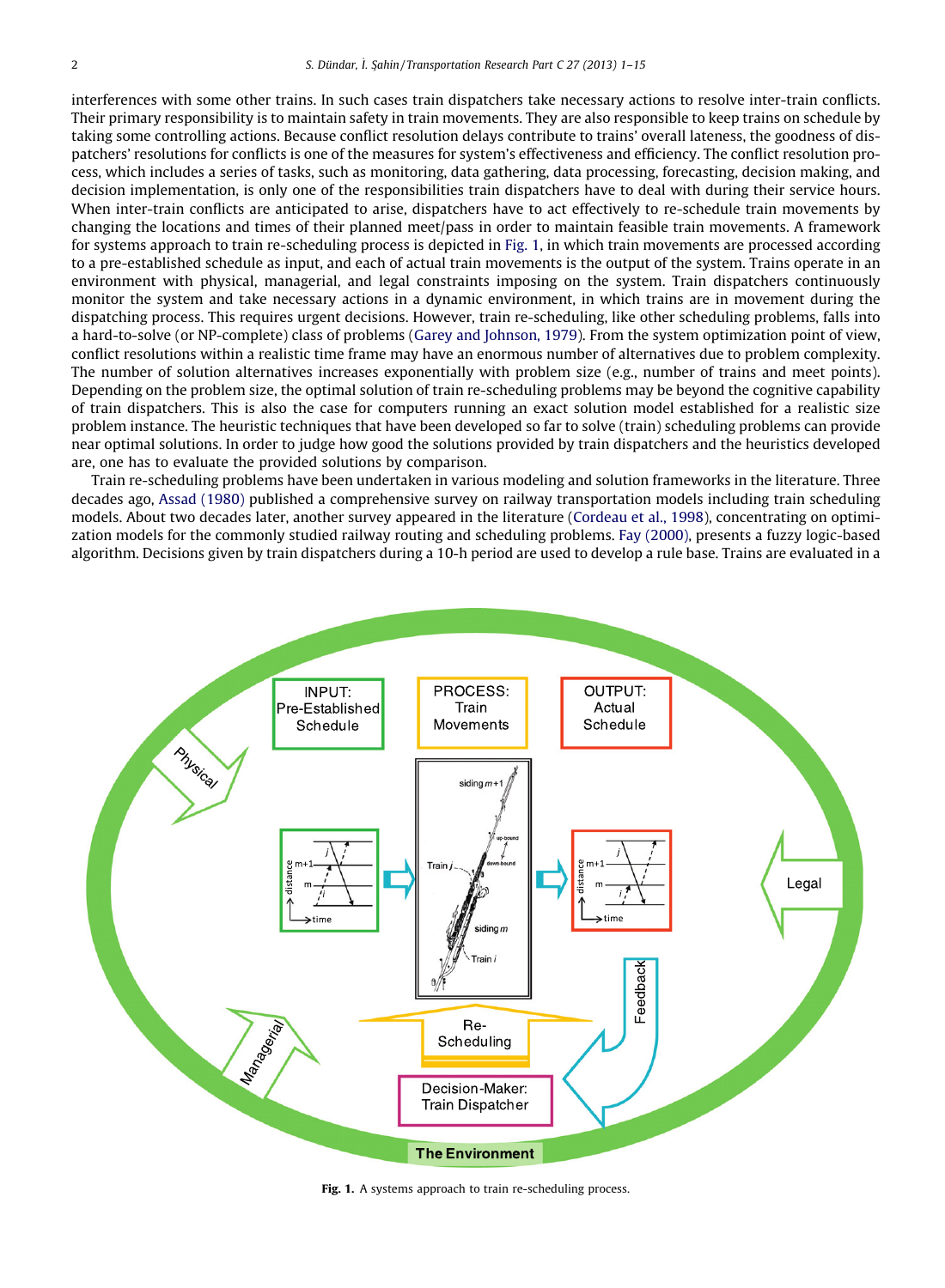interferences with some other trains. In such cases train dispatchers take necessary actions to resolve inter-train conflicts. Their primary responsibility is to maintain safety in train movements. They are also responsible to keep trains on schedule by taking some controlling actions. Because conflict resolution delays contribute to trains' overall lateness, the goodness of dispatchers' resolutions for conflicts is one of the measures for system's effectiveness and efficiency. The conflict resolution process, which includes a series of tasks, such as monitoring, data gathering, data processing, forecasting, decision making, and decision implementation, is only one of the responsibilities train dispatchers have to deal with during their service hours. When inter-train conflicts are anticipated to arise, dispatchers have to act effectively to re-schedule train movements by changing the locations and times of their planned meet/pass in order to maintain feasible train movements. A framework for systems approach to train re-scheduling process is depicted in Fig. 1, in which train movements are processed according to a pre-established schedule as input, and each of actual train movements is the output of the system. Trains operate in an environment with physical, managerial, and legal constraints imposing on the system. Train dispatchers continuously monitor the system and take necessary actions in a dynamic environment, in which trains are in movement during the dispatching process. This requires urgent decisions. However, train re-scheduling, like other scheduling problems, falls into a hard-to-solve (or NP-complete) class of problems ([Garey and Johnson, 1979\)](#page--1-0). From the system optimization point of view, conflict resolutions within a realistic time frame may have an enormous number of alternatives due to problem complexity. The number of solution alternatives increases exponentially with problem size (e.g., number of trains and meet points). Depending on the problem size, the optimal solution of train re-scheduling problems may be beyond the cognitive capability of train dispatchers. This is also the case for computers running an exact solution model established for a realistic size problem instance. The heuristic techniques that have been developed so far to solve (train) scheduling problems can provide near optimal solutions. In order to judge how good the solutions provided by train dispatchers and the heuristics developed are, one has to evaluate the provided solutions by comparison.

Train re-scheduling problems have been undertaken in various modeling and solution frameworks in the literature. Three decades ago, [Assad \(1980\)](#page--1-0) published a comprehensive survey on railway transportation models including train scheduling models. About two decades later, another survey appeared in the literature [\(Cordeau et al., 1998\)](#page--1-0), concentrating on optimization models for the commonly studied railway routing and scheduling problems. [Fay \(2000\),](#page--1-0) presents a fuzzy logic-based algorithm. Decisions given by train dispatchers during a 10-h period are used to develop a rule base. Trains are evaluated in a



Fig. 1. A systems approach to train re-scheduling process.